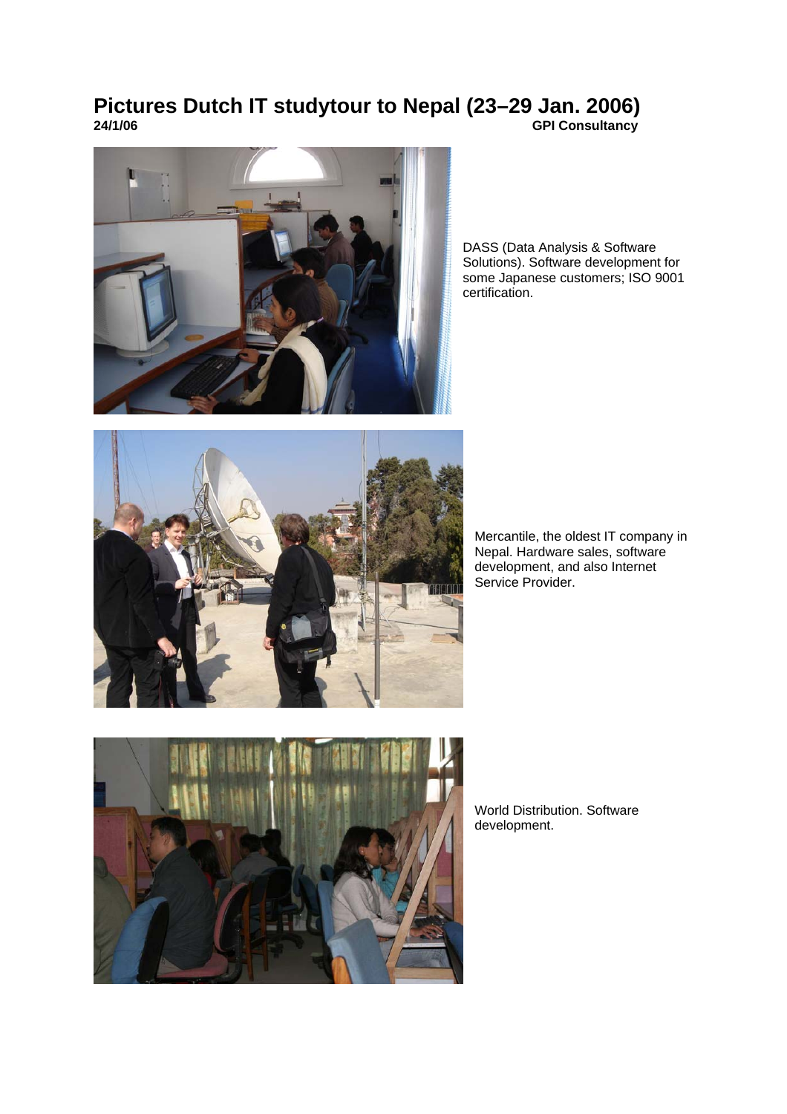## **Pictures Dutch IT studytour to Nepal (23–29 Jan. 2006) 24/1/06 GPI Consultancy**



DASS (Data Analysis & Software Solutions). Software development for some Japanese customers; ISO 9001 certification.



Mercantile, the oldest IT company in Nepal. Hardware sales, software development, and also Internet Service Provider.



World Distribution. Software development.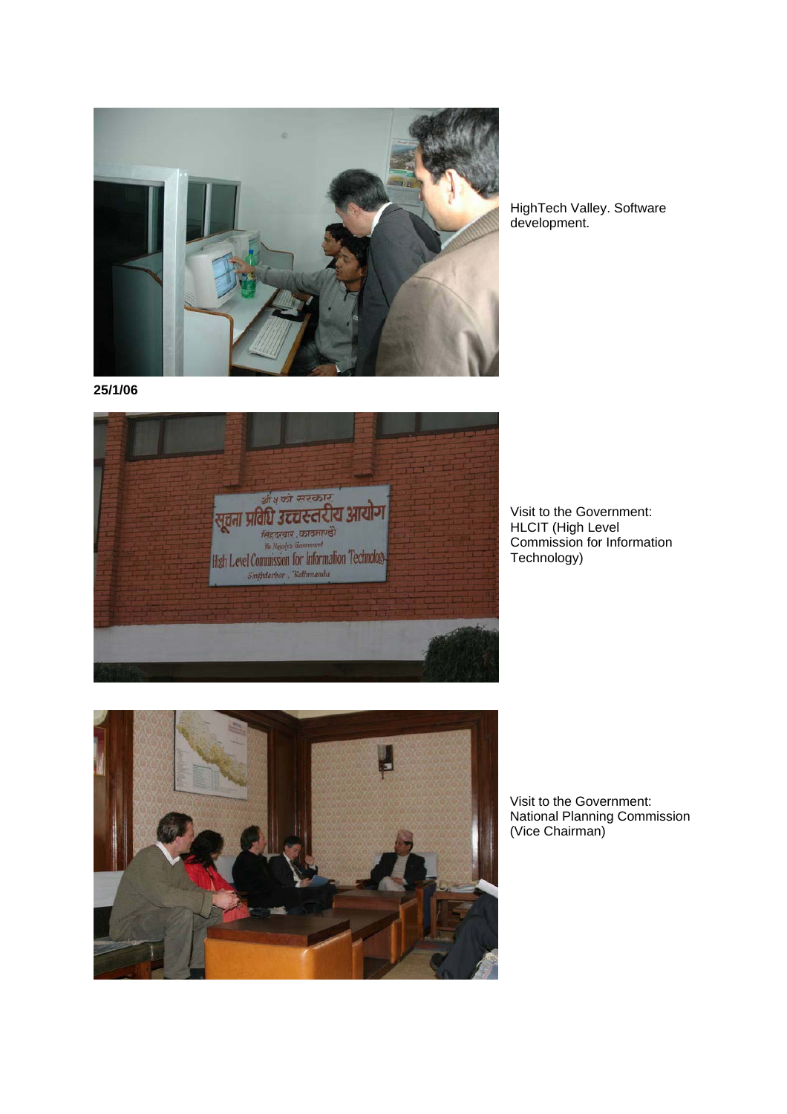

HighTech Valley. Software development.

**25/1/06** 



Visit to the Government: HLCIT (High Level Commission for Information Technology)



Visit to the Government: National Planning Commission (Vice Chairman)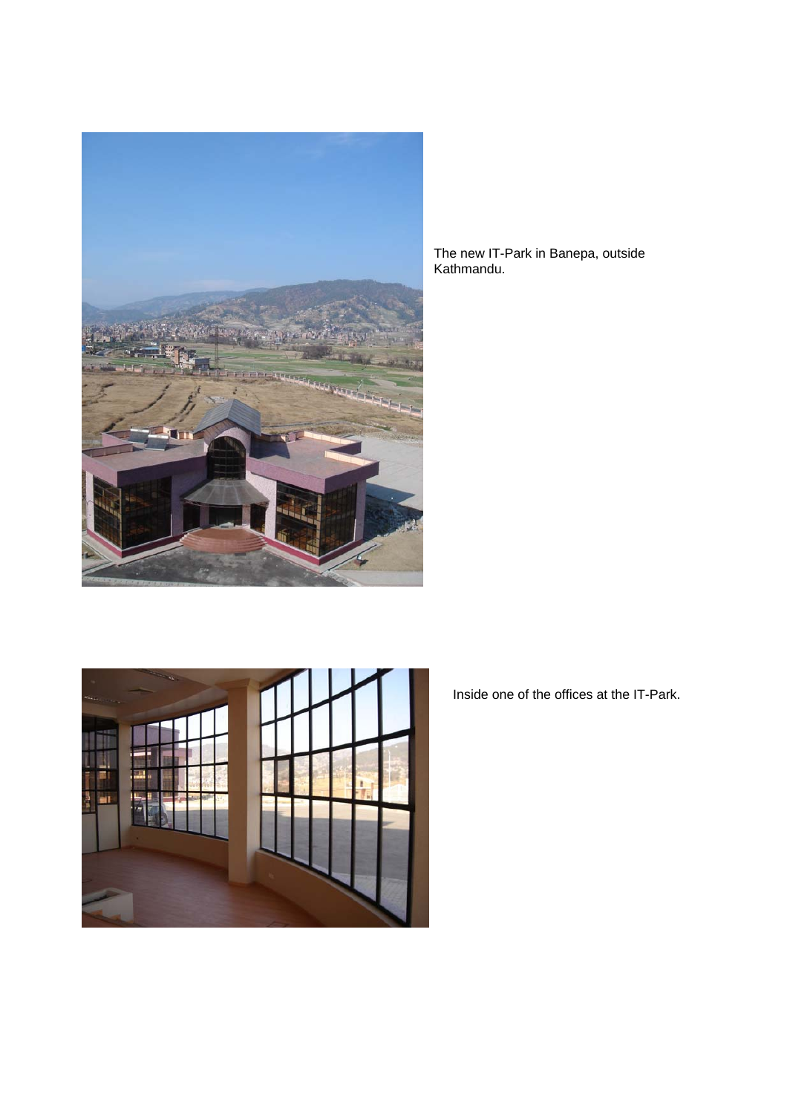

The new IT-Park in Banepa, outside Kathmandu.



Inside one of the offices at the IT-Park.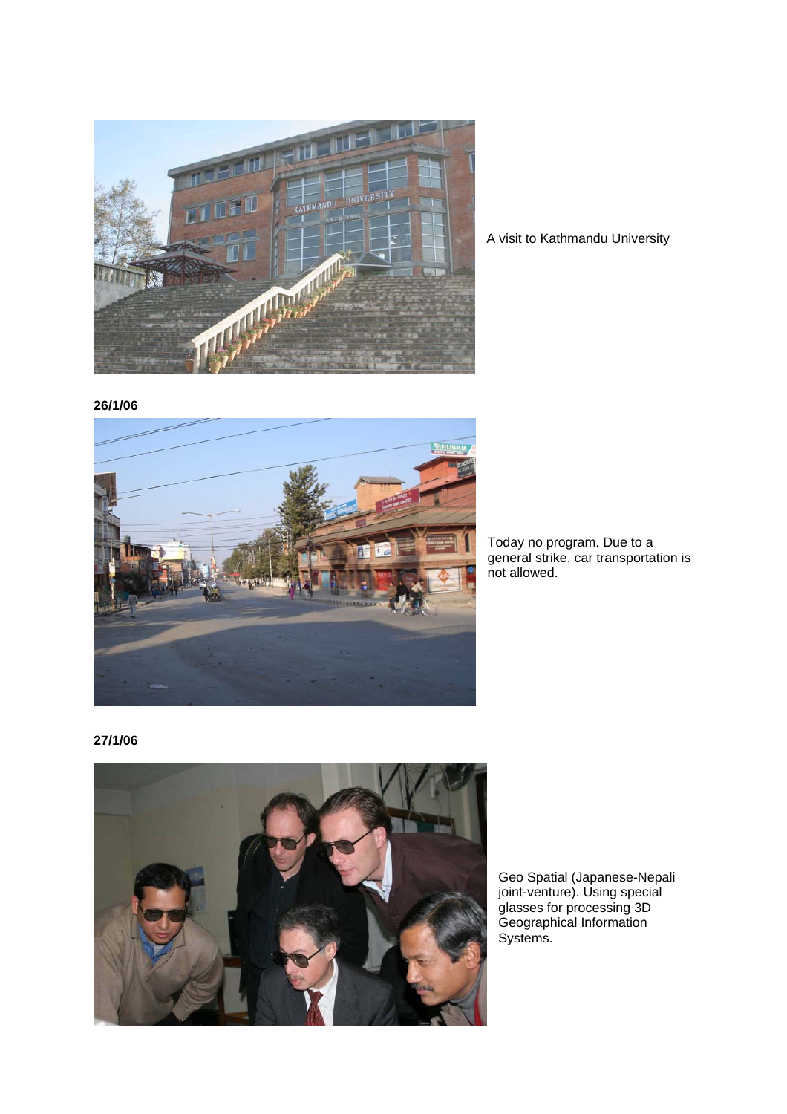

A visit to Kathmandu University

**26/1/06**



Today no program. Due to a general strike, car transportation is not allowed.

**27/1/06**



Geo Spatial (Japanese-Nepali joint-venture). Using special glasses for processing 3D Geographical Information Systems.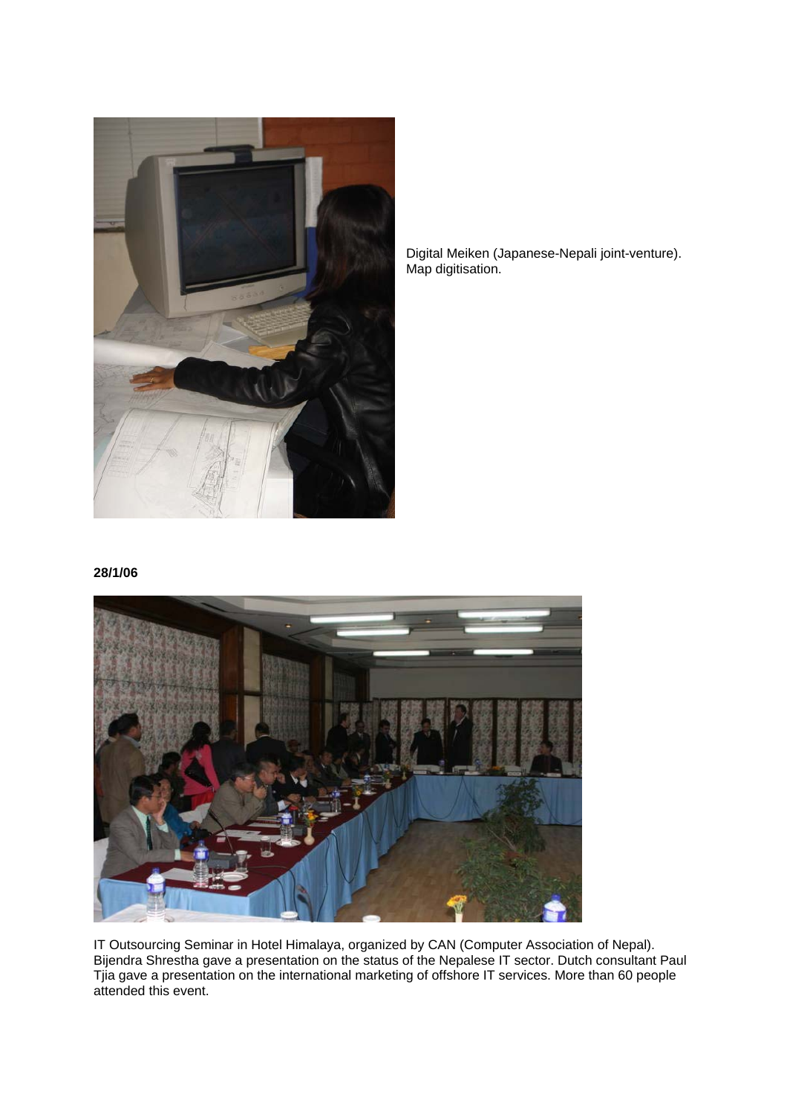

Digital Meiken (Japanese-Nepali joint-venture). Map digitisation.

**28/1/06** 



IT Outsourcing Seminar in Hotel Himalaya, organized by CAN (Computer Association of Nepal). Bijendra Shrestha gave a presentation on the status of the Nepalese IT sector. Dutch consultant Paul Tjia gave a presentation on the international marketing of offshore IT services. More than 60 people attended this event.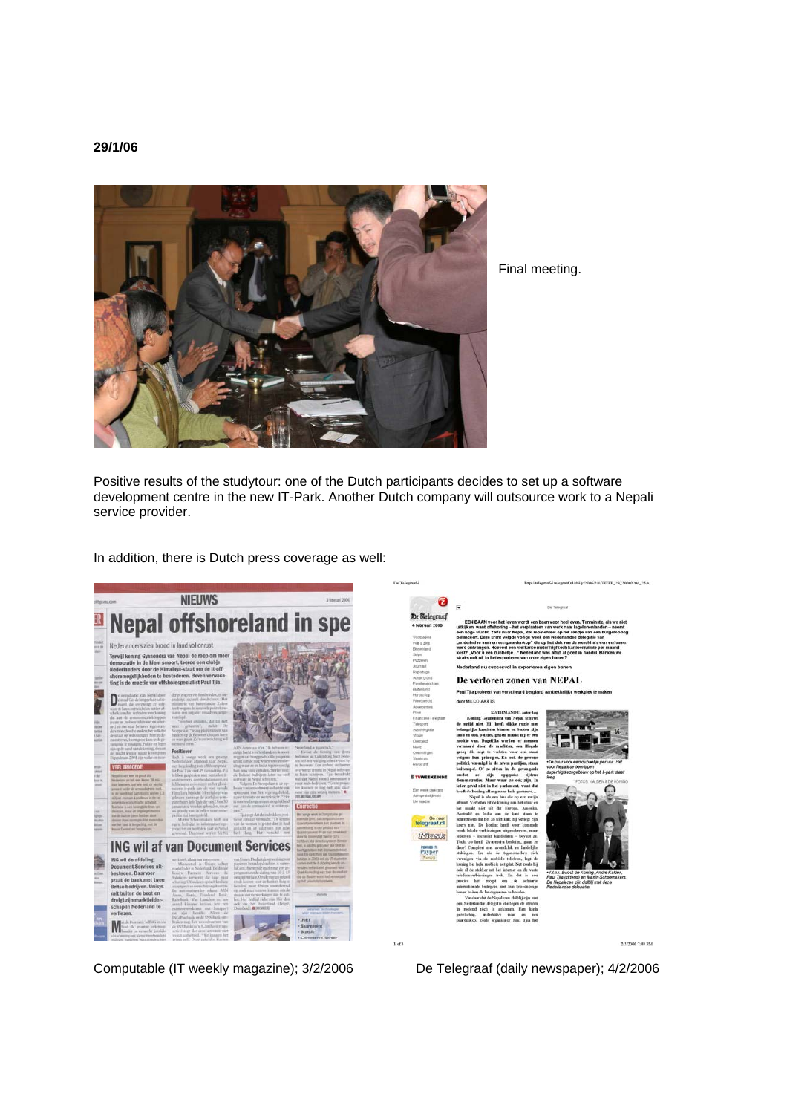## **29/1/06**



Final meeting.

Positive results of the studytour: one of the Dutch participants decides to set up a software development centre in the new IT-Park. Another Dutch company will outsource work to a Nepali service provider.

In addition, there is Dutch press coverage as well:



Computable (IT weekly magazine); 3/2/2006 De Telegraaf (daily newspaper); 4/2/2006